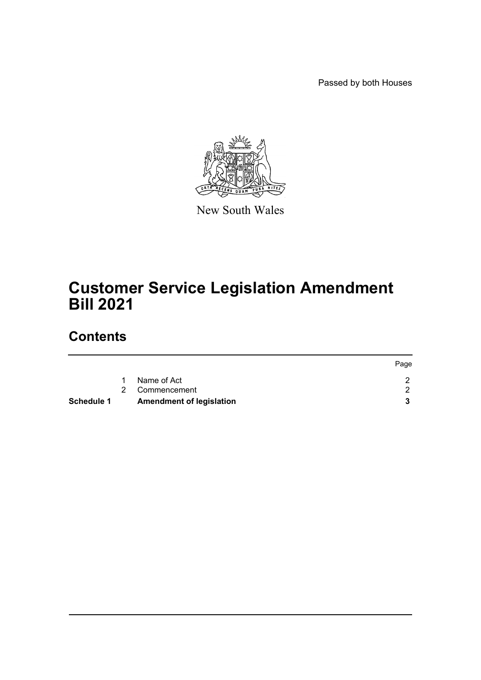Passed by both Houses



New South Wales

# **Customer Service Legislation Amendment Bill 2021**

## **Contents**

| Schedule 1 | <b>Amendment of legislation</b> |      |
|------------|---------------------------------|------|
|            | 2 Commencement                  |      |
|            | Name of Act                     |      |
|            |                                 | Page |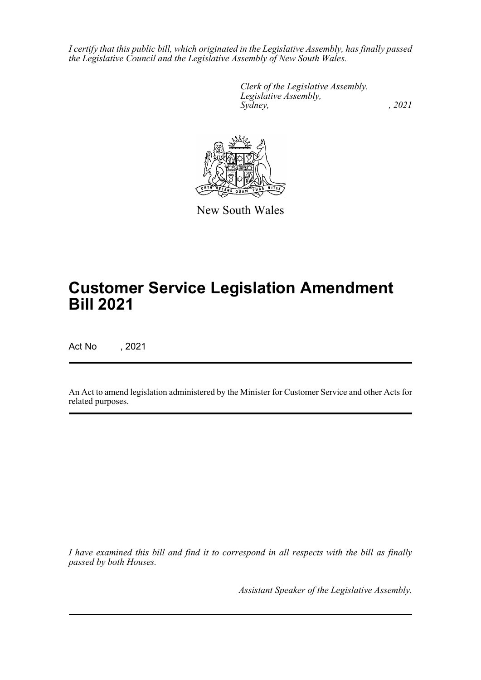*I certify that this public bill, which originated in the Legislative Assembly, has finally passed the Legislative Council and the Legislative Assembly of New South Wales.*

> *Clerk of the Legislative Assembly. Legislative Assembly, Sydney, , 2021*



New South Wales

## **Customer Service Legislation Amendment Bill 2021**

Act No , 2021

An Act to amend legislation administered by the Minister for Customer Service and other Acts for related purposes.

*I have examined this bill and find it to correspond in all respects with the bill as finally passed by both Houses.*

*Assistant Speaker of the Legislative Assembly.*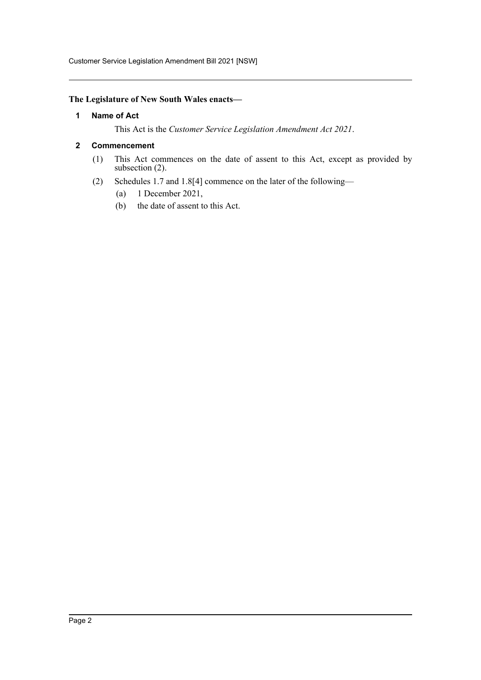Customer Service Legislation Amendment Bill 2021 [NSW]

## <span id="page-2-0"></span>**The Legislature of New South Wales enacts—**

### **1 Name of Act**

This Act is the *Customer Service Legislation Amendment Act 2021*.

### <span id="page-2-1"></span>**2 Commencement**

- (1) This Act commences on the date of assent to this Act, except as provided by subsection (2).
- (2) Schedules 1.7 and 1.8[4] commence on the later of the following—
	- (a) 1 December 2021,
	- (b) the date of assent to this Act.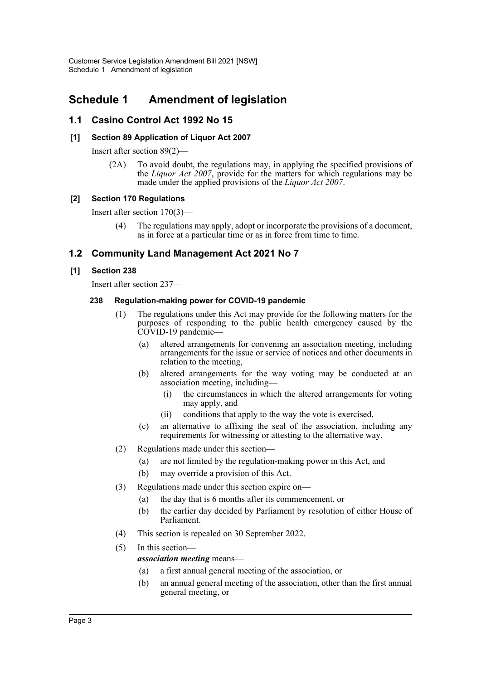## <span id="page-3-0"></span>**Schedule 1 Amendment of legislation**

## **1.1 Casino Control Act 1992 No 15**

## **[1] Section 89 Application of Liquor Act 2007**

Insert after section 89(2)—

(2A) To avoid doubt, the regulations may, in applying the specified provisions of the *Liquor Act 2007*, provide for the matters for which regulations may be made under the applied provisions of the *Liquor Act 2007*.

## **[2] Section 170 Regulations**

Insert after section 170(3)—

The regulations may apply, adopt or incorporate the provisions of a document, as in force at a particular time or as in force from time to time.

## **1.2 Community Land Management Act 2021 No 7**

## **[1] Section 238**

Insert after section 237—

### **238 Regulation-making power for COVID-19 pandemic**

- (1) The regulations under this Act may provide for the following matters for the purposes of responding to the public health emergency caused by the COVID-19 pandemic—
	- (a) altered arrangements for convening an association meeting, including arrangements for the issue or service of notices and other documents in relation to the meeting,
	- (b) altered arrangements for the way voting may be conducted at an association meeting, including—
		- (i) the circumstances in which the altered arrangements for voting may apply, and
		- (ii) conditions that apply to the way the vote is exercised,
	- (c) an alternative to affixing the seal of the association, including any requirements for witnessing or attesting to the alternative way.
- (2) Regulations made under this section—
	- (a) are not limited by the regulation-making power in this Act, and
	- (b) may override a provision of this Act.
- (3) Regulations made under this section expire on—
	- (a) the day that is 6 months after its commencement, or
	- (b) the earlier day decided by Parliament by resolution of either House of Parliament.
- (4) This section is repealed on 30 September 2022.
- (5) In this section—

## *association meeting* means—

- (a) a first annual general meeting of the association, or
- (b) an annual general meeting of the association, other than the first annual general meeting, or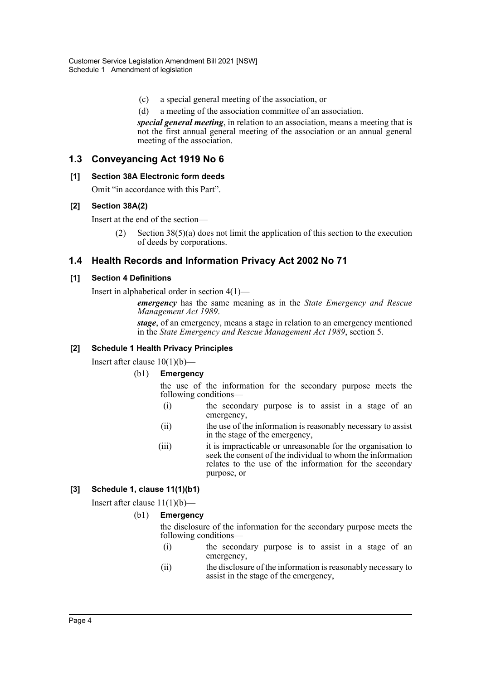- (c) a special general meeting of the association, or
- (d) a meeting of the association committee of an association.

*special general meeting*, in relation to an association, means a meeting that is not the first annual general meeting of the association or an annual general meeting of the association.

## **1.3 Conveyancing Act 1919 No 6**

#### **[1] Section 38A Electronic form deeds**

Omit "in accordance with this Part".

### **[2] Section 38A(2)**

Insert at the end of the section—

(2) Section 38(5)(a) does not limit the application of this section to the execution of deeds by corporations.

## **1.4 Health Records and Information Privacy Act 2002 No 71**

#### **[1] Section 4 Definitions**

Insert in alphabetical order in section 4(1)—

*emergency* has the same meaning as in the *State Emergency and Rescue Management Act 1989*.

*stage*, of an emergency, means a stage in relation to an emergency mentioned in the *State Emergency and Rescue Management Act 1989*, section 5.

### **[2] Schedule 1 Health Privacy Principles**

Insert after clause  $10(1)(b)$ —

#### (b1) **Emergency**

the use of the information for the secondary purpose meets the following conditions—

- (i) the secondary purpose is to assist in a stage of an emergency,
- (ii) the use of the information is reasonably necessary to assist in the stage of the emergency,
- (iii) it is impracticable or unreasonable for the organisation to seek the consent of the individual to whom the information relates to the use of the information for the secondary purpose, or

## **[3] Schedule 1, clause 11(1)(b1)**

Insert after clause  $11(1)(b)$ —

#### (b1) **Emergency**

the disclosure of the information for the secondary purpose meets the following conditions—

- (i) the secondary purpose is to assist in a stage of an emergency,
- (ii) the disclosure of the information is reasonably necessary to assist in the stage of the emergency,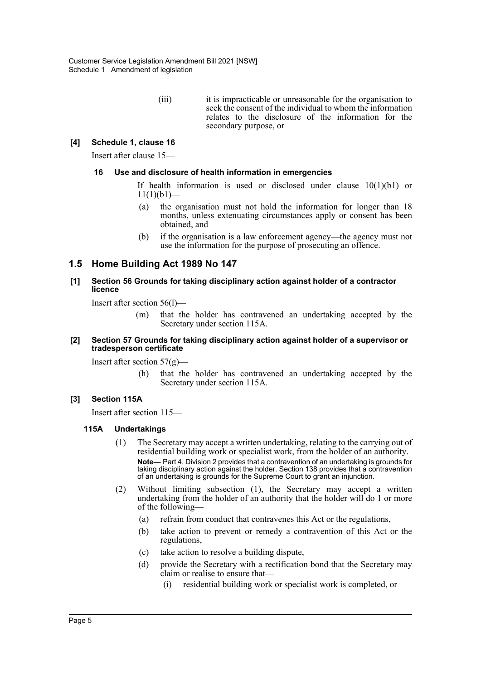(iii) it is impracticable or unreasonable for the organisation to seek the consent of the individual to whom the information relates to the disclosure of the information for the secondary purpose, or

## **[4] Schedule 1, clause 16**

Insert after clause 15—

#### **16 Use and disclosure of health information in emergencies**

If health information is used or disclosed under clause 10(1)(b1) or  $11(1)(b1)$ —

- (a) the organisation must not hold the information for longer than 18 months, unless extenuating circumstances apply or consent has been obtained, and
- (b) if the organisation is a law enforcement agency—the agency must not use the information for the purpose of prosecuting an offence.

## **1.5 Home Building Act 1989 No 147**

#### **[1] Section 56 Grounds for taking disciplinary action against holder of a contractor licence**

Insert after section 56(l)—

(m) that the holder has contravened an undertaking accepted by the Secretary under section 115A.

#### **[2] Section 57 Grounds for taking disciplinary action against holder of a supervisor or tradesperson certificate**

Insert after section  $57(g)$ —

(h) that the holder has contravened an undertaking accepted by the Secretary under section 115A.

#### **[3] Section 115A**

Insert after section 115—

#### **115A Undertakings**

- (1) The Secretary may accept a written undertaking, relating to the carrying out of residential building work or specialist work, from the holder of an authority. **Note—** Part 4, Division 2 provides that a contravention of an undertaking is grounds for taking disciplinary action against the holder. Section 138 provides that a contravention of an undertaking is grounds for the Supreme Court to grant an injunction.
- (2) Without limiting subsection (1), the Secretary may accept a written undertaking from the holder of an authority that the holder will do 1 or more of the following—
	- (a) refrain from conduct that contravenes this Act or the regulations,
	- (b) take action to prevent or remedy a contravention of this Act or the regulations,
	- (c) take action to resolve a building dispute,
	- (d) provide the Secretary with a rectification bond that the Secretary may claim or realise to ensure that—
		- (i) residential building work or specialist work is completed, or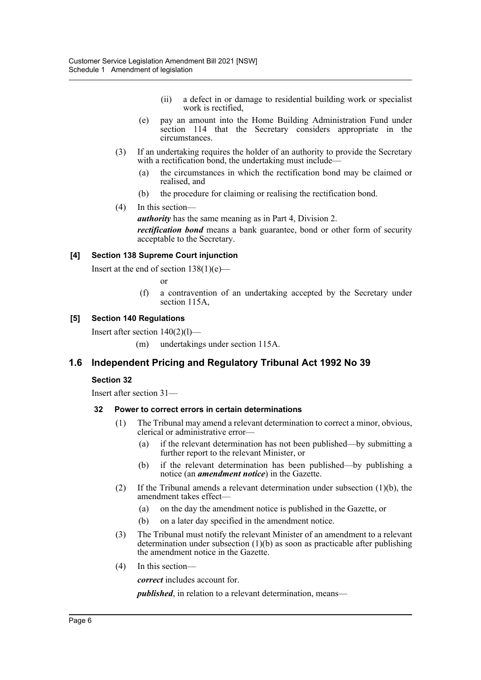- (ii) a defect in or damage to residential building work or specialist work is rectified,
- (e) pay an amount into the Home Building Administration Fund under section 114 that the Secretary considers appropriate in the circumstances.
- (3) If an undertaking requires the holder of an authority to provide the Secretary with a rectification bond, the undertaking must include—
	- (a) the circumstances in which the rectification bond may be claimed or realised, and
	- (b) the procedure for claiming or realising the rectification bond.
- (4) In this section—

*authority* has the same meaning as in Part 4, Division 2.

*rectification bond* means a bank guarantee, bond or other form of security acceptable to the Secretary.

#### **[4] Section 138 Supreme Court injunction**

Insert at the end of section  $138(1)(e)$ —

or

(f) a contravention of an undertaking accepted by the Secretary under section 115A,

#### **[5] Section 140 Regulations**

Insert after section 140(2)(l)—

(m) undertakings under section 115A.

## **1.6 Independent Pricing and Regulatory Tribunal Act 1992 No 39**

#### **Section 32**

Insert after section 31—

#### **32 Power to correct errors in certain determinations**

- (1) The Tribunal may amend a relevant determination to correct a minor, obvious, clerical or administrative error—
	- (a) if the relevant determination has not been published—by submitting a further report to the relevant Minister, or
	- (b) if the relevant determination has been published—by publishing a notice (an *amendment notice*) in the Gazette.
- (2) If the Tribunal amends a relevant determination under subsection  $(1)(b)$ , the amendment takes effect—
	- (a) on the day the amendment notice is published in the Gazette, or
	- (b) on a later day specified in the amendment notice.
- (3) The Tribunal must notify the relevant Minister of an amendment to a relevant determination under subsection  $(1)(b)$  as soon as practicable after publishing the amendment notice in the Gazette.
- (4) In this section—

*correct* includes account for.

*published*, in relation to a relevant determination, means—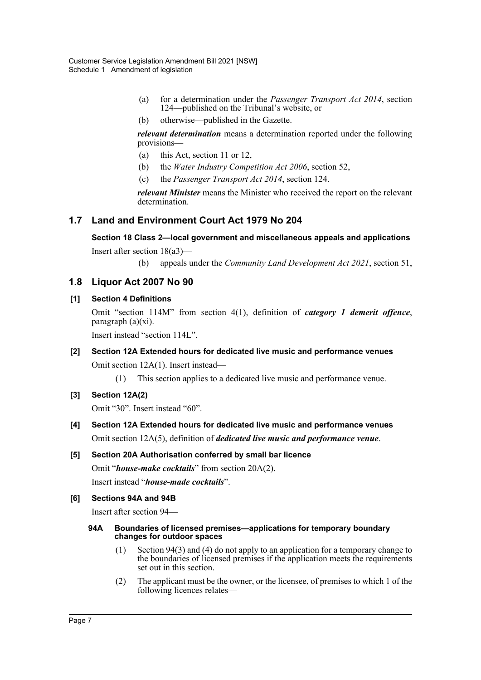- (a) for a determination under the *Passenger Transport Act 2014*, section 124—published on the Tribunal's website, or
- (b) otherwise—published in the Gazette.

*relevant determination* means a determination reported under the following provisions—

- (a) this Act, section 11 or 12,
- (b) the *Water Industry Competition Act 2006*, section 52,
- (c) the *Passenger Transport Act 2014*, section 124.

*relevant Minister* means the Minister who received the report on the relevant determination.

## **1.7 Land and Environment Court Act 1979 No 204**

**Section 18 Class 2—local government and miscellaneous appeals and applications**

Insert after section 18(a3)—

(b) appeals under the *Community Land Development Act 2021*, section 51,

## **1.8 Liquor Act 2007 No 90**

#### **[1] Section 4 Definitions**

Omit "section 114M" from section 4(1), definition of *category 1 demerit offence*, paragraph (a)(xi).

Insert instead "section 114L".

## **[2] Section 12A Extended hours for dedicated live music and performance venues** Omit section 12A(1). Insert instead—

(1) This section applies to a dedicated live music and performance venue.

## **[3] Section 12A(2)**

Omit "30". Insert instead "60".

**[4] Section 12A Extended hours for dedicated live music and performance venues** Omit section 12A(5), definition of *dedicated live music and performance venue*.

## **[5] Section 20A Authorisation conferred by small bar licence**

Omit "*house-make cocktails*" from section 20A(2). Insert instead "*house-made cocktails*".

#### **[6] Sections 94A and 94B**

Insert after section 94—

#### **94A Boundaries of licensed premises—applications for temporary boundary changes for outdoor spaces**

- (1) Section 94(3) and (4) do not apply to an application for a temporary change to the boundaries of licensed premises if the application meets the requirements set out in this section.
- (2) The applicant must be the owner, or the licensee, of premises to which 1 of the following licences relates—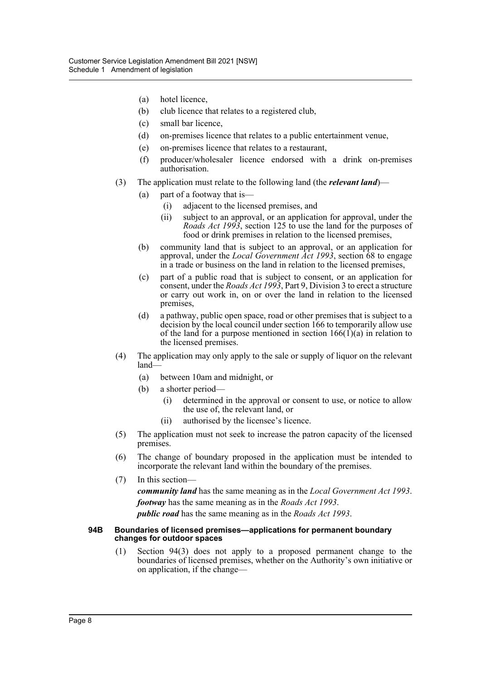- (a) hotel licence,
- (b) club licence that relates to a registered club,
- (c) small bar licence,
- (d) on-premises licence that relates to a public entertainment venue,
- (e) on-premises licence that relates to a restaurant,
- (f) producer/wholesaler licence endorsed with a drink on-premises authorisation.
- (3) The application must relate to the following land (the *relevant land*)—
	- (a) part of a footway that is—
		- (i) adjacent to the licensed premises, and
		- (ii) subject to an approval, or an application for approval, under the *Roads Act 1993*, section 125 to use the land for the purposes of food or drink premises in relation to the licensed premises,
	- (b) community land that is subject to an approval, or an application for approval, under the *Local Government Act 1993*, section 68 to engage in a trade or business on the land in relation to the licensed premises,
	- (c) part of a public road that is subject to consent, or an application for consent, under the *Roads Act 1993*, Part 9, Division 3 to erect a structure or carry out work in, on or over the land in relation to the licensed premises,
	- (d) a pathway, public open space, road or other premises that is subject to a decision by the local council under section 166 to temporarily allow use of the land for a purpose mentioned in section  $166(1)(a)$  in relation to the licensed premises.
- (4) The application may only apply to the sale or supply of liquor on the relevant land—
	- (a) between 10am and midnight, or
	- (b) a shorter period—
		- (i) determined in the approval or consent to use, or notice to allow the use of, the relevant land, or
		- (ii) authorised by the licensee's licence.
- (5) The application must not seek to increase the patron capacity of the licensed premises.
- (6) The change of boundary proposed in the application must be intended to incorporate the relevant land within the boundary of the premises.
- (7) In this section *community land* has the same meaning as in the *Local Government Act 1993*. *footway* has the same meaning as in the *Roads Act 1993*. *public road* has the same meaning as in the *Roads Act 1993*.

#### **94B Boundaries of licensed premises—applications for permanent boundary changes for outdoor spaces**

(1) Section 94(3) does not apply to a proposed permanent change to the boundaries of licensed premises, whether on the Authority's own initiative or on application, if the change—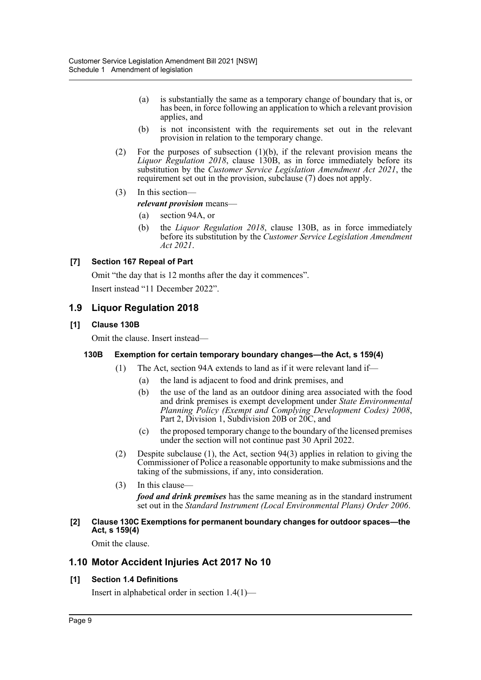- (a) is substantially the same as a temporary change of boundary that is, or has been, in force following an application to which a relevant provision applies, and
- (b) is not inconsistent with the requirements set out in the relevant provision in relation to the temporary change.
- (2) For the purposes of subsection (1)(b), if the relevant provision means the *Liquor Regulation 2018*, clause 130B, as in force immediately before its substitution by the *Customer Service Legislation Amendment Act 2021*, the requirement set out in the provision, subclause (7) does not apply.
- (3) In this section—

*relevant provision* means—

- (a) section 94A, or
- (b) the *Liquor Regulation 2018*, clause 130B, as in force immediately before its substitution by the *Customer Service Legislation Amendment Act 2021*.

## **[7] Section 167 Repeal of Part**

Omit "the day that is 12 months after the day it commences".

Insert instead "11 December 2022".

## **1.9 Liquor Regulation 2018**

#### **[1] Clause 130B**

Omit the clause. Insert instead—

#### **130B Exemption for certain temporary boundary changes—the Act, s 159(4)**

- (1) The Act, section 94A extends to land as if it were relevant land if—
	- (a) the land is adjacent to food and drink premises, and
	- (b) the use of the land as an outdoor dining area associated with the food and drink premises is exempt development under *State Environmental Planning Policy (Exempt and Complying Development Codes) 2008*, Part 2, Division 1, Subdivision 20B or 20C, and
	- (c) the proposed temporary change to the boundary of the licensed premises under the section will not continue past 30 April 2022.
- (2) Despite subclause (1), the Act, section 94(3) applies in relation to giving the Commissioner of Police a reasonable opportunity to make submissions and the taking of the submissions, if any, into consideration.
- $(3)$  In this clause-

*food and drink premises* has the same meaning as in the standard instrument set out in the *Standard Instrument (Local Environmental Plans) Order 2006*.

#### **[2] Clause 130C Exemptions for permanent boundary changes for outdoor spaces—the Act, s 159(4)**

Omit the clause.

## **1.10 Motor Accident Injuries Act 2017 No 10**

#### **[1] Section 1.4 Definitions**

Insert in alphabetical order in section 1.4(1)—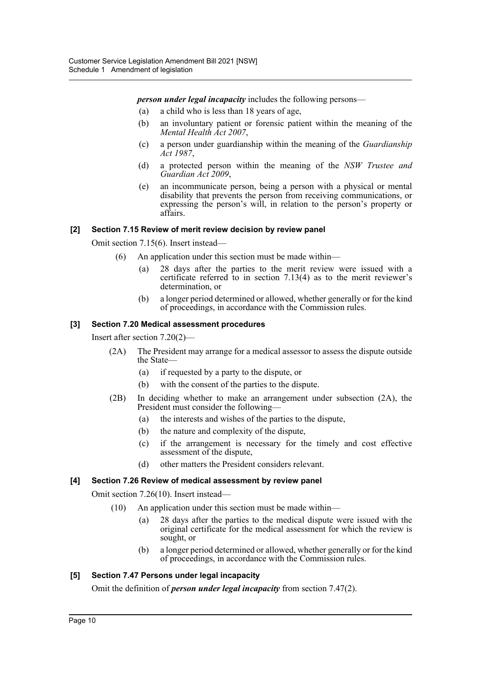*person under legal incapacity* includes the following persons—

- (a) a child who is less than 18 years of age,
- (b) an involuntary patient or forensic patient within the meaning of the *Mental Health Act 2007*,
- (c) a person under guardianship within the meaning of the *Guardianship Act 1987*,
- (d) a protected person within the meaning of the *NSW Trustee and Guardian Act 2009*,
- (e) an incommunicate person, being a person with a physical or mental disability that prevents the person from receiving communications, or expressing the person's will, in relation to the person's property or affairs.

#### **[2] Section 7.15 Review of merit review decision by review panel**

Omit section 7.15(6). Insert instead—

- (6) An application under this section must be made within—
	- (a) 28 days after the parties to the merit review were issued with a certificate referred to in section  $7.13(4)$  as to the merit reviewer's determination, or
	- (b) a longer period determined or allowed, whether generally or for the kind of proceedings, in accordance with the Commission rules.

#### **[3] Section 7.20 Medical assessment procedures**

Insert after section 7.20(2)—

- (2A) The President may arrange for a medical assessor to assess the dispute outside the State—
	- (a) if requested by a party to the dispute, or
	- (b) with the consent of the parties to the dispute.
- (2B) In deciding whether to make an arrangement under subsection (2A), the President must consider the following—
	- (a) the interests and wishes of the parties to the dispute,
	- (b) the nature and complexity of the dispute,
	- (c) if the arrangement is necessary for the timely and cost effective assessment of the dispute,
	- (d) other matters the President considers relevant.

#### **[4] Section 7.26 Review of medical assessment by review panel**

Omit section 7.26(10). Insert instead—

- (10) An application under this section must be made within—
	- (a) 28 days after the parties to the medical dispute were issued with the original certificate for the medical assessment for which the review is sought, or
	- (b) a longer period determined or allowed, whether generally or for the kind of proceedings, in accordance with the Commission rules.

#### **[5] Section 7.47 Persons under legal incapacity**

Omit the definition of *person under legal incapacity* from section 7.47(2).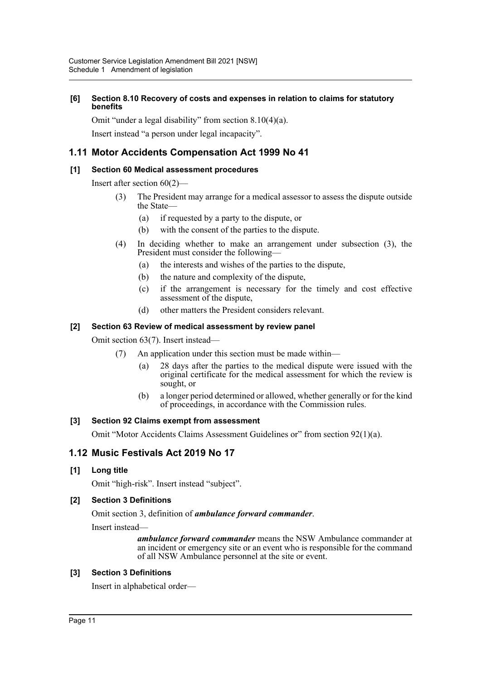#### **[6] Section 8.10 Recovery of costs and expenses in relation to claims for statutory benefits**

Omit "under a legal disability" from section 8.10(4)(a).

Insert instead "a person under legal incapacity".

## **1.11 Motor Accidents Compensation Act 1999 No 41**

## **[1] Section 60 Medical assessment procedures**

Insert after section 60(2)—

- (3) The President may arrange for a medical assessor to assess the dispute outside the State—
	- (a) if requested by a party to the dispute, or
	- (b) with the consent of the parties to the dispute.
- (4) In deciding whether to make an arrangement under subsection (3), the President must consider the following—
	- (a) the interests and wishes of the parties to the dispute,
	- (b) the nature and complexity of the dispute,
	- (c) if the arrangement is necessary for the timely and cost effective assessment of the dispute,
	- (d) other matters the President considers relevant.

## **[2] Section 63 Review of medical assessment by review panel**

Omit section 63(7). Insert instead—

- (7) An application under this section must be made within—
	- (a) 28 days after the parties to the medical dispute were issued with the original certificate for the medical assessment for which the review is sought, or
	- (b) a longer period determined or allowed, whether generally or for the kind of proceedings, in accordance with the Commission rules.

## **[3] Section 92 Claims exempt from assessment**

Omit "Motor Accidents Claims Assessment Guidelines or" from section 92(1)(a).

## **1.12 Music Festivals Act 2019 No 17**

#### **[1] Long title**

Omit "high-risk". Insert instead "subject".

## **[2] Section 3 Definitions**

Omit section 3, definition of *ambulance forward commander*.

Insert instead—

*ambulance forward commander* means the NSW Ambulance commander at an incident or emergency site or an event who is responsible for the command of all NSW Ambulance personnel at the site or event.

## **[3] Section 3 Definitions**

Insert in alphabetical order—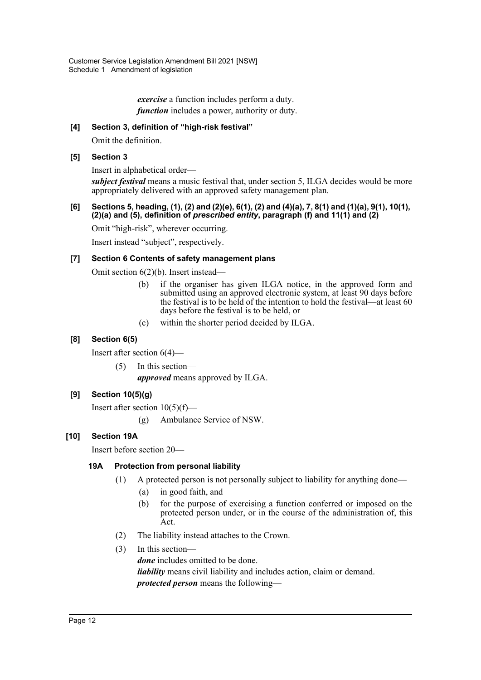*exercise* a function includes perform a duty. *function* includes a power, authority or duty.

## **[4] Section 3, definition of "high-risk festival"**

Omit the definition.

### **[5] Section 3**

Insert in alphabetical order—

*subject festival* means a music festival that, under section 5, ILGA decides would be more appropriately delivered with an approved safety management plan.

#### **[6] Sections 5, heading, (1), (2) and (2)(e), 6(1), (2) and (4)(a), 7, 8(1) and (1)(a), 9(1), 10(1), (2)(a) and (5), definition of** *prescribed entity***, paragraph (f) and 11(1) and (2)**

Omit "high-risk", wherever occurring.

Insert instead "subject", respectively.

### **[7] Section 6 Contents of safety management plans**

Omit section 6(2)(b). Insert instead—

- (b) if the organiser has given ILGA notice, in the approved form and submitted using an approved electronic system, at least 90 days before the festival is to be held of the intention to hold the festival—at least 60 days before the festival is to be held, or
- (c) within the shorter period decided by ILGA.

## **[8] Section 6(5)**

Insert after section 6(4)—

(5) In this section—

*approved* means approved by ILGA.

## **[9] Section 10(5)(g)**

Insert after section 10(5)(f)—

(g) Ambulance Service of NSW.

## **[10] Section 19A**

Insert before section 20—

## **19A Protection from personal liability**

- (1) A protected person is not personally subject to liability for anything done—
	- (a) in good faith, and
	- (b) for the purpose of exercising a function conferred or imposed on the protected person under, or in the course of the administration of, this Act.
- (2) The liability instead attaches to the Crown.
- (3) In this section *done* includes omitted to be done. *liability* means civil liability and includes action, claim or demand. *protected person* means the following—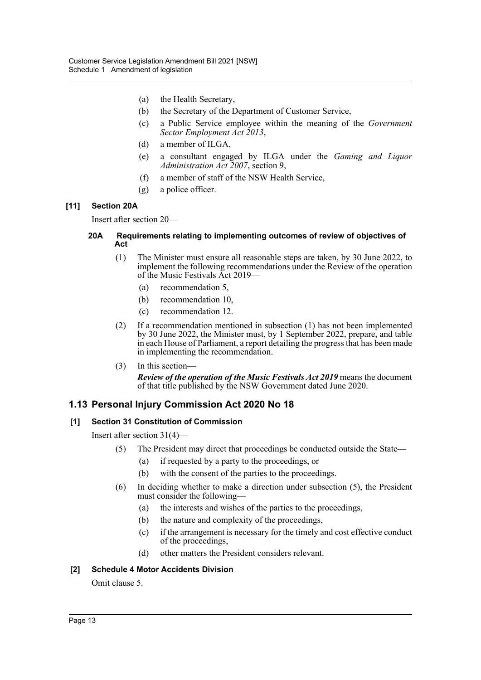- (a) the Health Secretary,
- (b) the Secretary of the Department of Customer Service,
- (c) a Public Service employee within the meaning of the *Government Sector Employment Act 2013*,
- (d) a member of ILGA,
- (e) a consultant engaged by ILGA under the *Gaming and Liquor Administration Act 2007*, section 9,
- (f) a member of staff of the NSW Health Service,
- (g) a police officer.

### **[11] Section 20A**

Insert after section 20—

#### **20A Requirements relating to implementing outcomes of review of objectives of Act**

- (1) The Minister must ensure all reasonable steps are taken, by 30 June 2022, to implement the following recommendations under the Review of the operation of the Music Festivals Act 2019—
	- (a) recommendation 5,
	- (b) recommendation 10,
	- (c) recommendation 12.
- (2) If a recommendation mentioned in subsection (1) has not been implemented by 30 June 2022, the Minister must, by 1 September 2022, prepare, and table in each House of Parliament, a report detailing the progress that has been made in implementing the recommendation.

## (3) In this section—

*Review of the operation of the Music Festivals Act 2019* means the document of that title published by the NSW Government dated June 2020.

## **1.13 Personal Injury Commission Act 2020 No 18**

## **[1] Section 31 Constitution of Commission**

Insert after section 31(4)—

- (5) The President may direct that proceedings be conducted outside the State—
	- (a) if requested by a party to the proceedings, or
	- (b) with the consent of the parties to the proceedings.
- (6) In deciding whether to make a direction under subsection (5), the President must consider the following—
	- (a) the interests and wishes of the parties to the proceedings,
	- (b) the nature and complexity of the proceedings,
	- (c) if the arrangement is necessary for the timely and cost effective conduct of the proceedings,
	- (d) other matters the President considers relevant.

## **[2] Schedule 4 Motor Accidents Division**

Omit clause 5.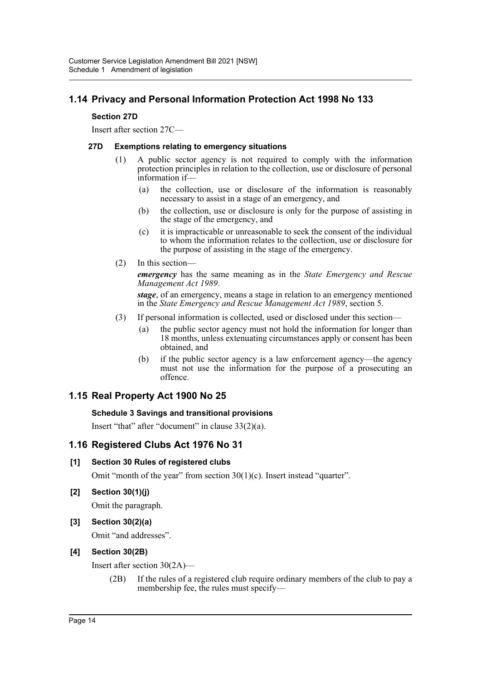## **1.14 Privacy and Personal Information Protection Act 1998 No 133**

### **Section 27D**

Insert after section 27C—

#### **27D Exemptions relating to emergency situations**

- (1) A public sector agency is not required to comply with the information protection principles in relation to the collection, use or disclosure of personal information if—
	- (a) the collection, use or disclosure of the information is reasonably necessary to assist in a stage of an emergency, and
	- (b) the collection, use or disclosure is only for the purpose of assisting in the stage of the emergency, and
	- (c) it is impracticable or unreasonable to seek the consent of the individual to whom the information relates to the collection, use or disclosure for the purpose of assisting in the stage of the emergency.
- (2) In this section—

*emergency* has the same meaning as in the *State Emergency and Rescue Management Act 1989*.

*stage*, of an emergency, means a stage in relation to an emergency mentioned in the *State Emergency and Rescue Management Act 1989*, section 5.

- (3) If personal information is collected, used or disclosed under this section—
	- (a) the public sector agency must not hold the information for longer than 18 months, unless extenuating circumstances apply or consent has been obtained, and
	- (b) if the public sector agency is a law enforcement agency—the agency must not use the information for the purpose of a prosecuting an offence.

## **1.15 Real Property Act 1900 No 25**

#### **Schedule 3 Savings and transitional provisions**

Insert "that" after "document" in clause 33(2)(a).

## **1.16 Registered Clubs Act 1976 No 31**

## **[1] Section 30 Rules of registered clubs**

Omit "month of the year" from section  $30(1)(c)$ . Insert instead "quarter".

**[2] Section 30(1)(j)**

Omit the paragraph.

**[3] Section 30(2)(a)**

Omit "and addresses".

## **[4] Section 30(2B)**

Insert after section 30(2A)—

(2B) If the rules of a registered club require ordinary members of the club to pay a membership fee, the rules must specify—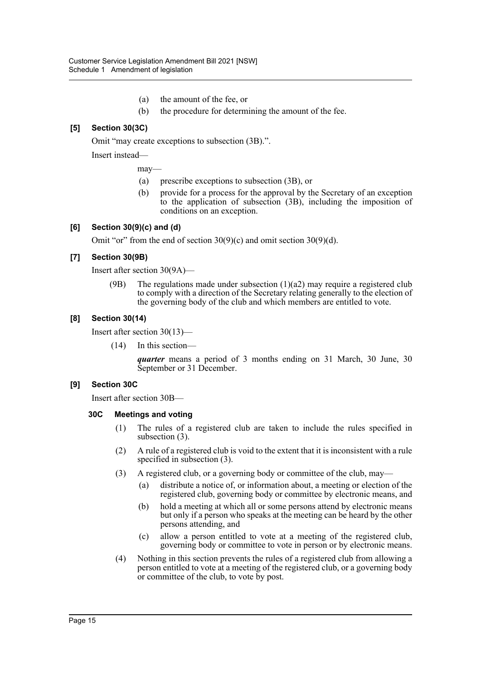- (a) the amount of the fee, or
- (b) the procedure for determining the amount of the fee.

## **[5] Section 30(3C)**

Omit "may create exceptions to subsection (3B).".

Insert instead—

may—

- (a) prescribe exceptions to subsection (3B), or
- (b) provide for a process for the approval by the Secretary of an exception to the application of subsection (3B), including the imposition of conditions on an exception.

#### **[6] Section 30(9)(c) and (d)**

Omit "or" from the end of section  $30(9)(c)$  and omit section  $30(9)(d)$ .

### **[7] Section 30(9B)**

Insert after section 30(9A)—

(9B) The regulations made under subsection  $(1)(a2)$  may require a registered club to comply with a direction of the Secretary relating generally to the election of the governing body of the club and which members are entitled to vote.

### **[8] Section 30(14)**

Insert after section 30(13)—

(14) In this section—

*quarter* means a period of 3 months ending on 31 March, 30 June, 30 September or 31 December.

#### **[9] Section 30C**

Insert after section 30B—

#### **30C Meetings and voting**

- (1) The rules of a registered club are taken to include the rules specified in subsection (3).
- (2) A rule of a registered club is void to the extent that it is inconsistent with a rule specified in subsection (3).
- (3) A registered club, or a governing body or committee of the club, may—
	- (a) distribute a notice of, or information about, a meeting or election of the registered club, governing body or committee by electronic means, and
	- (b) hold a meeting at which all or some persons attend by electronic means but only if a person who speaks at the meeting can be heard by the other persons attending, and
	- (c) allow a person entitled to vote at a meeting of the registered club, governing body or committee to vote in person or by electronic means.
- (4) Nothing in this section prevents the rules of a registered club from allowing a person entitled to vote at a meeting of the registered club, or a governing body or committee of the club, to vote by post.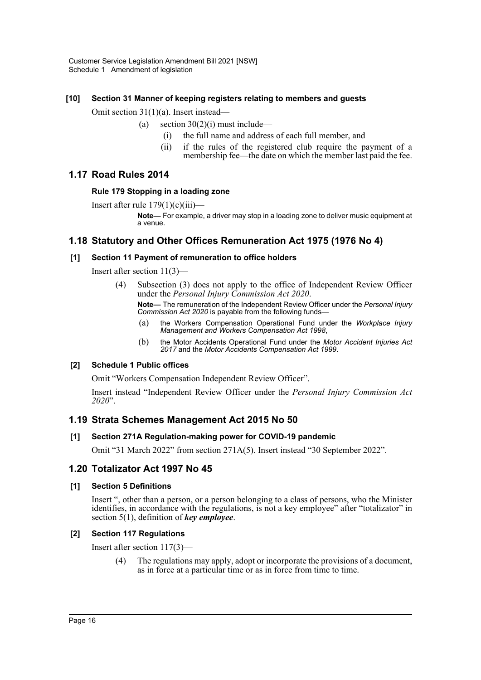### **[10] Section 31 Manner of keeping registers relating to members and guests**

Omit section 31(1)(a). Insert instead—

- (a) section  $30(2)(i)$  must include—
	- (i) the full name and address of each full member, and
	- (ii) if the rules of the registered club require the payment of a membership fee—the date on which the member last paid the fee.

## **1.17 Road Rules 2014**

#### **Rule 179 Stopping in a loading zone**

Insert after rule  $179(1)(c)(iii)$ —

**Note—** For example, a driver may stop in a loading zone to deliver music equipment at a venue.

## **1.18 Statutory and Other Offices Remuneration Act 1975 (1976 No 4)**

### **[1] Section 11 Payment of remuneration to office holders**

Insert after section 11(3)—

(4) Subsection (3) does not apply to the office of Independent Review Officer under the *Personal Injury Commission Act 2020*.

**Note—** The remuneration of the Independent Review Officer under the *Personal Injury Commission Act 2020* is payable from the following funds—

- (a) the Workers Compensation Operational Fund under the *Workplace Injury Management and Workers Compensation Act 1998*,
- (b) the Motor Accidents Operational Fund under the *Motor Accident Injuries Act 2017* and the *Motor Accidents Compensation Act 1999*.

#### **[2] Schedule 1 Public offices**

Omit "Workers Compensation Independent Review Officer".

Insert instead "Independent Review Officer under the *Personal Injury Commission Act 2020*".

## **1.19 Strata Schemes Management Act 2015 No 50**

#### **[1] Section 271A Regulation-making power for COVID-19 pandemic**

Omit "31 March 2022" from section 271A(5). Insert instead "30 September 2022".

## **1.20 Totalizator Act 1997 No 45**

#### **[1] Section 5 Definitions**

Insert ", other than a person, or a person belonging to a class of persons, who the Minister identifies, in accordance with the regulations, is not a key employee" after "totalizator" in section 5(1), definition of *key employee*.

## **[2] Section 117 Regulations**

Insert after section 117(3)—

(4) The regulations may apply, adopt or incorporate the provisions of a document, as in force at a particular time or as in force from time to time.